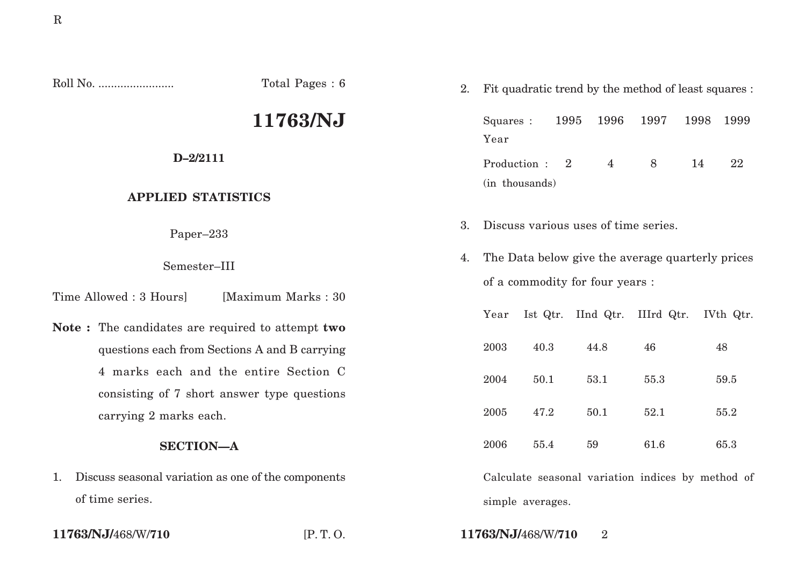Roll No. ........................ Total Pages : 6 **11763/NJ D–2/2111 APPLIED STATISTICS** Paper–233 Semester–III Time Allowed : 3 Hours [Maximum Marks : 30] **Note :** The candidates are required to attempt **two** questions each from Sections A and B carrying 4 marks each and the entire Section C consisting of 7 short answer type questions carrying 2 marks each. **SECTION—A** 1. Discuss seasonal variation as one of the components 2. Fit quadratic trend by the method of least squares : Squares : 1995 1996 1997 1998 1999 Year Production : 2 4 8 14 22 (in thousands) 3. Discuss various uses of time series. 4. The Data below give the average quarterly prices of a commodity for four years : Year Ist Qtr. IInd Qtr. IIIrd Qtr. IVth Qtr. 2003 40.3 44.8 46 48  $2004 \qquad 50.1 \qquad \quad 53.1 \qquad \quad 55.3 \qquad \qquad 59.5$  $2005 \qquad 47.2 \qquad \quad 50.1 \qquad \quad 52.1 \qquad \qquad 55.2$ 2006 55.4 59 61.6 65.3

Calculate seasonal variation indices by method of simple averages.

**11763/NJ/**468/W/**710** [P. T. O. **11763/NJ/**468/W/**710** 2

of time series.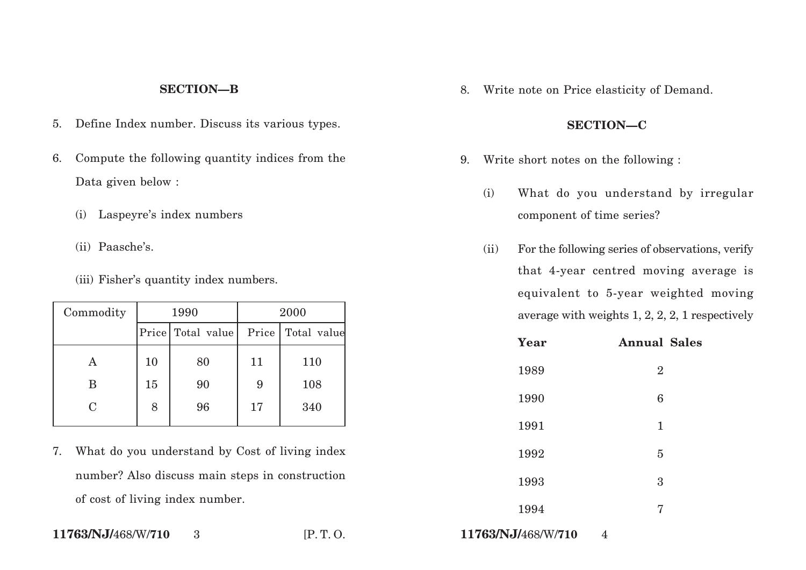## **SECTION—B**

- 5. Define Index number. Discuss its various types.
- 6. Compute the following quantity indices from the Data given below :
	- (i) Laspeyre's index numbers
	- (ii) Paasche's.
	- (iii) Fisher's quantity index numbers.

| Commodity      | 1990 |                     | 2000  |             |
|----------------|------|---------------------|-------|-------------|
|                |      | Price   Total value | Price | Total value |
| Α              | 10   | 80                  | 11    | 110         |
| B              | 15   | 90                  | 9     | 108         |
| $\overline{C}$ | 8    | 96                  | 17    | 340         |

- 7. What do you understand by Cost of living index number? Also discuss main steps in construction of cost of living index number.
- **11763/NJ/**468/W/**710** 3 [P. T. O. **11763/NJ/**468/W/**710** 4

8. Write note on Price elasticity of Demand.

## **SECTION—C**

- 9. Write short notes on the following :
	- (i) What do you understand by irregular component of time series?
	- (ii) For the following series of observations, verify that 4-year centred moving average is equivalent to 5-year weighted moving average with weights 1, 2, 2, 2, 1 respectively

| Year                     | <b>Annual Sales</b> |  |
|--------------------------|---------------------|--|
| 1989                     | $\overline{2}$      |  |
| 1990                     | 6                   |  |
| 1991                     | $\mathbf{1}$        |  |
| 1992                     | 5                   |  |
| 1993                     | 3                   |  |
| 1994                     | 7                   |  |
| <b>INTITIACO ATTIELA</b> | $\boldsymbol{A}$    |  |